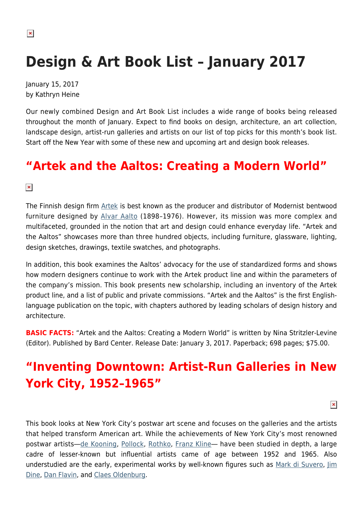# **Design & Art Book List – January 2017**

January 15, 2017 by Kathryn Heine

Our newly combined Design and Art Book List includes a wide range of books being released throughout the month of January. Expect to find books on design, architecture, an art collection, landscape design, artist-run galleries and artists on our list of top picks for this month's book list. Start off the New Year with some of these new and upcoming art and design book releases.

### **"Artek and the Aaltos: Creating a Modern World"**

 $\pmb{\times}$ 

The Finnish design firm [Artek](http://www.artek.fi/) is best known as the producer and distributor of Modernist bentwood furniture designed by [Alvar Aalto](http://www.alvaraalto.fi/index_en.htm) (1898-1976). However, its mission was more complex and multifaceted, grounded in the notion that art and design could enhance everyday life. "Artek and the Aaltos" showcases more than three hundred objects, including furniture, glassware, lighting, design sketches, drawings, textile swatches, and photographs.

In addition, this book examines the Aaltos' advocacy for the use of standardized forms and shows how modern designers continue to work with the Artek product line and within the parameters of the company's mission. This book presents new scholarship, including an inventory of the Artek product line, and a list of public and private commissions. "Artek and the Aaltos" is the first Englishlanguage publication on the topic, with chapters authored by leading scholars of design history and architecture.

**BASIC FACTS:** "Artek and the Aaltos: Creating a Modern World" is written by Nina Stritzler-Levine (Editor). Published by Bard Center. Release Date: January 3, 2017. Paperback; 698 pages; \$75.00.

# **"Inventing Downtown: Artist-Run Galleries in New York City, 1952–1965"**

 $\pmb{\times}$ 

This book looks at New York City's postwar art scene and focuses on the galleries and the artists that helped transform American art. While the achievements of New York City's most renowned postwar artists―[de Kooning,](https://www.artsy.net/artist/willem-de-kooning) [Pollock,](https://hamptonsarthub.com/2016/01/25/biography-of-a-pollock-painting-the-artists-hand/) [Rothko](https://hamptonsarthub.com/2016/11/21/reviews-art-review-rothkos-dark-palette-meppayils-bright-minimalism-at-pace/), [Franz Kline―](http://www.theartstory.org/artist-kline-franz.htm) have been studied in depth, a large cadre of lesser-known but influential artists came of age between 1952 and 1965. Also understudied are the early, experimental works by well-known figures such as [Mark di Suvero,](http://www.spacetimecc.com/) [Jim](http://www.artnet.com/artists/jim-dine/) [Dine,](http://www.artnet.com/artists/jim-dine/) [Dan Flavin,](https://hamptonsarthub.com/exhibition/dan-flavin-icons/) and [Claes Oldenburg.](http://www.oldenburgvanbruggen.com/)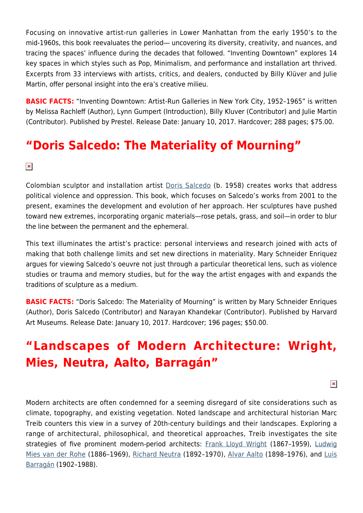Focusing on innovative artist-run galleries in Lower Manhattan from the early 1950's to the mid-1960s, this book reevaluates the period― uncovering its diversity, creativity, and nuances, and tracing the spaces' influence during the decades that followed. "Inventing Downtown" explores 14 key spaces in which styles such as Pop, Minimalism, and performance and installation art thrived. Excerpts from 33 interviews with artists, critics, and dealers, conducted by Billy Klüver and Julie Martin, offer personal insight into the era's creative milieu.

**BASIC FACTS:** "Inventing Downtown: Artist-Run Galleries in New York City, 1952-1965" is written by Melissa Rachleff (Author), Lynn Gumpert (Introduction), Billy Kluver (Contributor) and Julie Martin (Contributor). Published by Prestel. Release Date: January 10, 2017. Hardcover; 288 pages; \$75.00.

### **"Doris Salcedo: The Materiality of Mourning"**

 $\pmb{\times}$ 

Colombian sculptor and installation artist [Doris Salcedo](https://hamptonsarthub.com/2016/06/21/art-review-doris-salcedo-retrospective-in-miami-pays-witness-to-loss/) (b. 1958) creates works that address political violence and oppression. This book, which focuses on Salcedo's works from 2001 to the present, examines the development and evolution of her approach. Her sculptures have pushed toward new extremes, incorporating organic materials—rose petals, grass, and soil—in order to blur the line between the permanent and the ephemeral.

This text illuminates the artist's practice: personal interviews and research joined with acts of making that both challenge limits and set new directions in materiality. Mary Schneider Enriquez argues for viewing Salcedo's oeuvre not just through a particular theoretical lens, such as violence studies or trauma and memory studies, but for the way the artist engages with and expands the traditions of sculpture as a medium.

**BASIC FACTS:** "Doris Salcedo: The Materiality of Mourning" is written by Mary Schneider Enriques (Author), Doris Salcedo (Contributor) and Narayan Khandekar (Contributor). Published by Harvard Art Museums. Release Date: January 10, 2017. Hardcover; 196 pages; \$50.00.

# **"Landscapes of Modern Architecture: Wright, Mies, Neutra, Aalto, Barragán"**

 $\pmb{\times}$ 

Modern architects are often condemned for a seeming disregard of site considerations such as climate, topography, and existing vegetation. Noted landscape and architectural historian Marc Treib counters this view in a survey of 20th-century buildings and their landscapes. Exploring a range of architectural, philosophical, and theoretical approaches, Treib investigates the site strategies of five prominent modern-period architects: [Frank Lloyd Wright](http://www.franklloydwright.org/) (1867-1959), [Ludwig](http://www.miessociety.org/legacy/) [Mies van der Rohe](http://www.miessociety.org/legacy/) (1886-1969), [Richard Neutra](https://neutra.org/) (1892-1970), [Alvar Aalto](http://www.alvaraalto.fi/index_en.htm) (1898-1976), and [Luis](http://www.pritzkerprize.com/1980/works) [Barragán](http://www.pritzkerprize.com/1980/works) (1902–1988).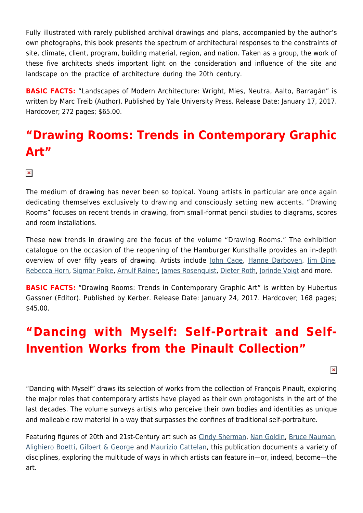Fully illustrated with rarely published archival drawings and plans, accompanied by the author's own photographs, this book presents the spectrum of architectural responses to the constraints of site, climate, client, program, building material, region, and nation. Taken as a group, the work of these five architects sheds important light on the consideration and influence of the site and landscape on the practice of architecture during the 20th century.

**BASIC FACTS:** "Landscapes of Modern Architecture: Wright, Mies, Neutra, Aalto, Barragán" is written by Marc Treib (Author). Published by Yale University Press. Release Date: January 17, 2017. Hardcover; 272 pages; \$65.00.

### **"Drawing Rooms: Trends in Contemporary Graphic Art"**

#### $\pmb{\times}$

The medium of drawing has never been so topical. Young artists in particular are once again dedicating themselves exclusively to drawing and consciously setting new accents. "Drawing Rooms" focuses on recent trends in drawing, from small-format pencil studies to diagrams, scores and room installations.

These new trends in drawing are the focus of the volume "Drawing Rooms." The exhibition catalogue on the occasion of the reopening of the Hamburger Kunsthalle provides an in-depth overview of over fifty years of drawing. Artists include [John Cage](http://www.johncage.org/), [Hanne Darboven,](https://www.artsy.net/artist/hanne-darboven) [Jim Dine,](https://www.artsy.net/artist/jim-dine) [Rebecca Horn](http://www.rebecca-horn.de/), [Sigmar Polke](https://www.artsy.net/artist/sigmar-polke), [Arnulf Rainer,](http://www.tate.org.uk/art/artists/arnulf-rainer-1813) [James Rosenquist](http://www.jamesrosenquiststudio.com/), [Dieter Roth,](https://en.wikipedia.org/wiki/Dieter_Roth) [Jorinde Voigt](http://jorindevoigt.com/) and more.

**BASIC FACTS:** "Drawing Rooms: Trends in Contemporary Graphic Art" is written by Hubertus Gassner (Editor). Published by Kerber. Release Date: January 24, 2017. Hardcover; 168 pages; \$45.00.

# **"Dancing with Myself: Self-Portrait and Self-Invention Works from the Pinault Collection"**

 $\pmb{\times}$ 

"Dancing with Myself" draws its selection of works from the collection of François Pinault, exploring the major roles that contemporary artists have played as their own protagonists in the art of the last decades. The volume surveys artists who perceive their own bodies and identities as unique and malleable raw material in a way that surpasses the confines of traditional self-portraiture.

Featuring figures of 20th and 21st-Century art such as [Cindy Sherman,](https://hamptonsarthub.com/2016/03/18/news-cindy-sherman-as-street-style-fashionista/) [Nan Goldin](http://www.artnet.com/artists/nan-goldin/), [Bruce Nauman,](https://www.artsy.net/artist/bruce-nauman) [Alighiero Boetti,](http://www.fondazioneboetti.it/) [Gilbert & George](http://www.gilbertandgeorge.co.uk/) and [Maurizio Cattelan,](https://www.perrotin.com/artists/Maurizio_Cattelan/2#news) this publication documents a variety of disciplines, exploring the multitude of ways in which artists can feature in—or, indeed, become—the art.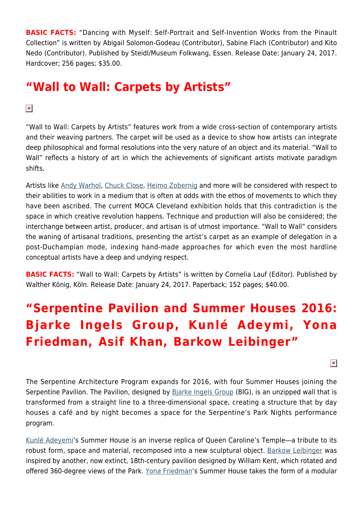**BASIC FACTS:** "Dancing with Myself: Self-Portrait and Self-Invention Works from the Pinault Collection" is written by Abigail Solomon-Godeau (Contributor), Sabine Flach (Contributor) and Kito Nedo (Contributor). Published by Steidl/Museum Folkwang, Essen. Release Date: January 24, 2017. Hardcover; 256 pages; \$35.00.

### **"Wall to Wall: Carpets by Artists"**

#### $\pmb{\times}$

"Wall to Wall: Carpets by Artists" features work from a wide cross-section of contemporary artists and their weaving partners. The carpet will be used as a device to show how artists can integrate deep philosophical and formal resolutions into the very nature of an object and its material. "Wall to Wall" reflects a history of art in which the achievements of significant artists motivate paradigm shifts.

Artists like [Andy Warhol](https://hamptonsarthub.com/2013/06/25/andys-hamptons-warhol-still-summers-here/), [Chuck Close,](https://hamptonsarthub.com/2013/09/09/art-review-sumptuous-portraits-by-chuck-close-at-guild-hall-museum/) [Heimo Zobernig](http://www.heimozobernig.com/) and more will be considered with respect to their abilities to work in a medium that is often at odds with the ethos of movements to which they have been ascribed. The current MOCA Cleveland exhibition holds that this contradiction is the space in which creative revolution happens. Technique and production will also be considered; the interchange between artist, producer, and artisan is of utmost importance. "Wall to Wall" considers the waning of artisanal traditions, presenting the artist's carpet as an example of delegation in a post-Duchampian mode, indexing hand-made approaches for which even the most hardline conceptual artists have a deep and undying respect.

**BASIC FACTS:** "Wall to Wall: Carpets by Artists" is written by Cornelia Lauf (Editor). Published by Walther König, Köln. Release Date: January 24, 2017. Paperback; 152 pages; \$40.00.

# **"Serpentine Pavilion and Summer Houses 2016: Bjarke Ingels Group, Kunlé Adeymi, Yona Friedman, Asif Khan, Barkow Leibinger"**

 $\pmb{\times}$ 

The Serpentine Architecture Program expands for 2016, with four Summer Houses joining the Serpentine Pavilion. The Pavilion, designed by [Bjarke Ingels Group](https://big.dk/#projects) (BIG), is an unzipped wall that is transformed from a straight line to a three-dimensional space, creating a structure that by day houses a café and by night becomes a space for the Serpentine's Park Nights performance program.

[Kunlé Adeyemi](http://www.nleworks.com/team-member/kunle-adeyemi/)'s Summer House is an inverse replica of Queen Caroline's Temple―a tribute to its robust form, space and material, recomposed into a new sculptural object. [Barkow Leibinger](http://www.barkowleibinger.com/) was inspired by another, now extinct, 18th-century pavilion designed by William Kent, which rotated and offered 360-degree views of the Park. [Yona Friedman](http://www.yonafriedman.nl/)'s Summer House takes the form of a modular